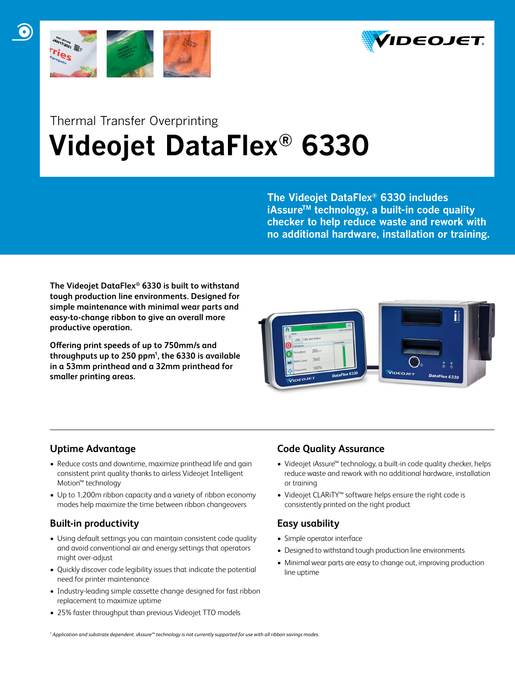



## Thermal Transfer Overprinting  **Videojet DataFlex® 6330**

**The Videojet DataFlex® 6330 includes iAssureTM technology, a built-in code quality checker to help reduce waste and rework with no additional hardware, installation or training.**

**The Videojet DataFlex® 6330 is built to withstand tough production line environments. Designed for simple maintenance with minimal wear parts and easy-to-change ribbon to give an overall more productive operation.**

**Offering print speeds of up to 750mm/s and throughputs up to 250 ppm1 , the 6330 is available in a 53mm printhead and a 32mm printhead for smaller printing areas.** 



## **Uptime Advantage**

- Reduce costs and downtime, maximize printhead life and gain consistent print quality thanks to airless Videojet Intelligent Motion™ technology
- Up to 1,200m ribbon capacity and a variety of ribbon economy modes help maximize the time between ribbon changeovers

## **Built-in productivity**

- Using default settings you can maintain consistent code quality and avoid conventional air and energy settings that operators might over-adjust
- Quickly discover code legibility issues that indicate the potential need for printer maintenance
- Industry-leading simple cassette change designed for fast ribbon replacement to maximize uptime
- 25% faster throughput than previous Videojet TTO models

## **Code Quality Assurance**

- Videojet iAssure™ technology, a built-in code quality checker, helps reduce waste and rework with no additional hardware, installation or training
- • Videojet CLARiTY™ software helps ensure the right code is consistently printed on the right product

## **Easy usability**

- • Simple operator interface
- Designed to withstand tough production line environments
- Minimal wear parts are easy to change out, improving production line uptime

*1 Application and substrate dependent. iAssure™ technology is not currently supported for use with all ribbon savings modes.*